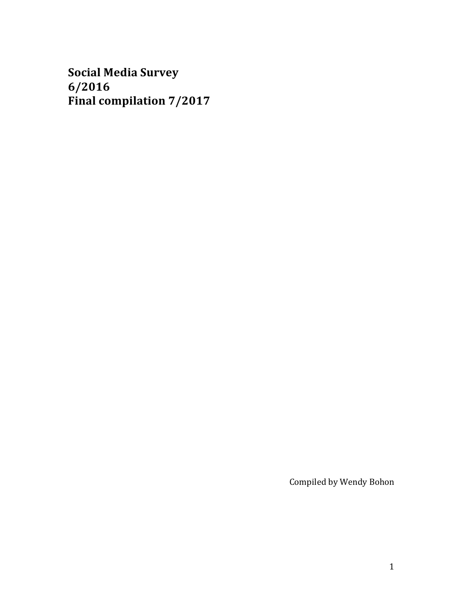**Social Media Survey 6/2016 Final compilation 7/2017** 

Compiled by Wendy Bohon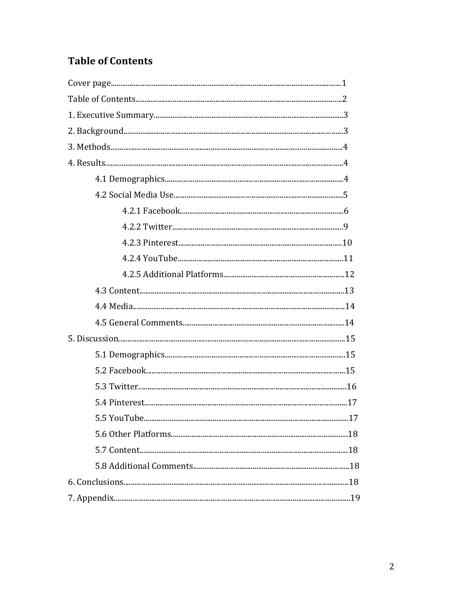# **Table of Contents**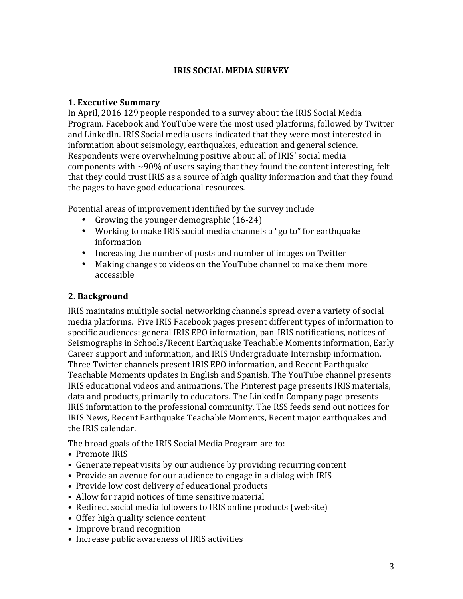### **IRIS SOCIAL MEDIA SURVEY**

#### **1. Executive Summary**

In April, 2016 129 people responded to a survey about the IRIS Social Media Program. Facebook and YouTube were the most used platforms, followed by Twitter and LinkedIn. IRIS Social media users indicated that they were most interested in information about seismology, earthquakes, education and general science. Respondents were overwhelming positive about all of IRIS' social media components with  $\sim$ 90% of users saying that they found the content interesting, felt that they could trust IRIS as a source of high quality information and that they found the pages to have good educational resources.

Potential areas of improvement identified by the survey include

- Growing the younger demographic  $(16-24)$
- Working to make IRIS social media channels a "go to" for earthquake information
- Increasing the number of posts and number of images on Twitter
- Making changes to videos on the YouTube channel to make them more accessible

### **2. Background**

IRIS maintains multiple social networking channels spread over a variety of social media platforms. Five IRIS Facebook pages present different types of information to specific audiences: general IRIS EPO information, pan-IRIS notifications, notices of Seismographs in Schools/Recent Earthquake Teachable Moments information, Early Career support and information, and IRIS Undergraduate Internship information. Three Twitter channels present IRIS EPO information, and Recent Earthquake Teachable Moments updates in English and Spanish. The YouTube channel presents IRIS educational videos and animations. The Pinterest page presents IRIS materials, data and products, primarily to educators. The LinkedIn Company page presents IRIS information to the professional community. The RSS feeds send out notices for IRIS News, Recent Earthquake Teachable Moments, Recent major earthquakes and the IRIS calendar.

The broad goals of the IRIS Social Media Program are to:

- Promote IRIS
- Generate repeat visits by our audience by providing recurring content
- Provide an avenue for our audience to engage in a dialog with IRIS
- Provide low cost delivery of educational products
- Allow for rapid notices of time sensitive material
- Redirect social media followers to IRIS online products (website)
- Offer high quality science content
- Improve brand recognition
- Increase public awareness of IRIS activities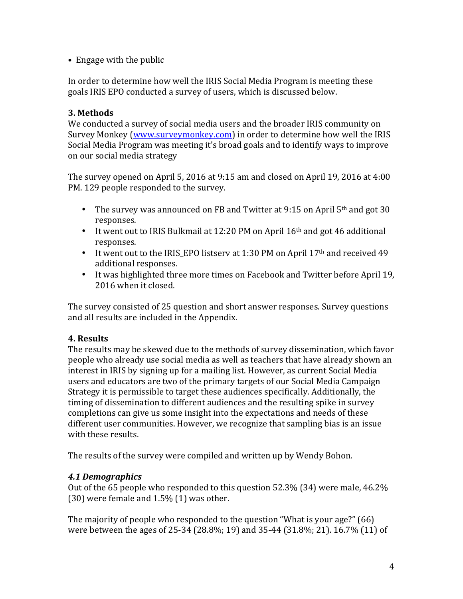• Engage with the public

In order to determine how well the IRIS Social Media Program is meeting these goals IRIS EPO conducted a survey of users, which is discussed below.

### **3. Methods**

We conducted a survey of social media users and the broader IRIS community on Survey Monkey (www.surveymonkey.com) in order to determine how well the IRIS Social Media Program was meeting it's broad goals and to identify ways to improve on our social media strategy

The survey opened on April 5, 2016 at 9:15 am and closed on April 19, 2016 at 4:00 PM. 129 people responded to the survey.

- The survey was announced on FB and Twitter at 9:15 on April  $5<sup>th</sup>$  and got 30 responses.
- It went out to IRIS Bulkmail at 12:20 PM on April  $16<sup>th</sup>$  and got 46 additional responses.
- It went out to the IRIS\_EPO listserv at 1:30 PM on April 17<sup>th</sup> and received 49 additional responses.
- It was highlighted three more times on Facebook and Twitter before April 19, 2016 when it closed.

The survey consisted of 25 question and short answer responses. Survey questions and all results are included in the Appendix.

## **4. Results**

The results may be skewed due to the methods of survey dissemination, which favor people who already use social media as well as teachers that have already shown an interest in IRIS by signing up for a mailing list. However, as current Social Media users and educators are two of the primary targets of our Social Media Campaign Strategy it is permissible to target these audiences specifically. Additionally, the timing of dissemination to different audiences and the resulting spike in survey completions can give us some insight into the expectations and needs of these different user communities. However, we recognize that sampling bias is an issue with these results.

The results of the survey were compiled and written up by Wendy Bohon.

## *4.1 Demographics*

Out of the  $65$  people who responded to this question  $52.3\%$  (34) were male,  $46.2\%$  $(30)$  were female and  $1.5\%$  (1) was other.

The majority of people who responded to the question "What is your age?"  $(66)$ were between the ages of 25-34 (28.8%; 19) and 35-44 (31.8%; 21). 16.7% (11) of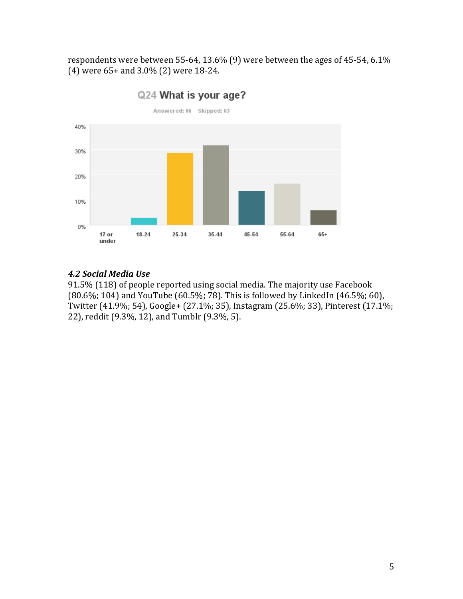respondents were between 55-64, 13.6% (9) were between the ages of 45-54, 6.1%  $(4)$  were  $65+$  and  $3.0\%$   $(2)$  were  $18-24$ .



Q24 What is your age?

### *4.2 Social Media Use*

91.5% (118) of people reported using social media. The majority use Facebook (80.6%; 104) and YouTube (60.5%; 78). This is followed by LinkedIn (46.5%; 60), Twitter (41.9%; 54), Google+ (27.1%; 35), Instagram (25.6%; 33), Pinterest (17.1%; 22), reddit (9.3%, 12), and Tumblr (9.3%, 5).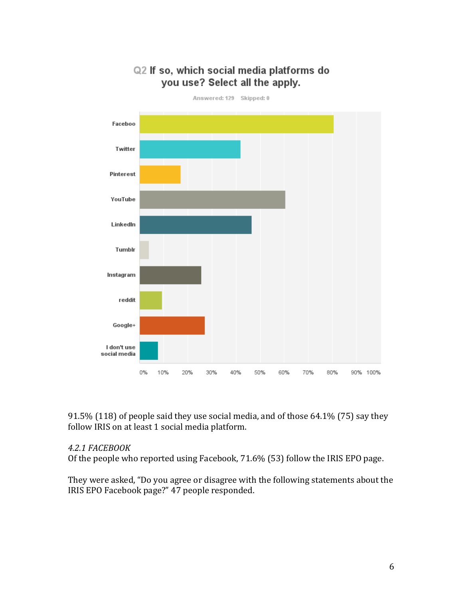

you use? Select all the apply.

Q2 If so, which social media platforms do

91.5% (118) of people said they use social media, and of those  $64.1\%$  (75) say they follow IRIS on at least 1 social media platform.

#### *4.2.1 FACEBOOK*

Of the people who reported using Facebook,  $71.6\%$  (53) follow the IRIS EPO page.

They were asked, "Do you agree or disagree with the following statements about the IRIS EPO Facebook page?" 47 people responded.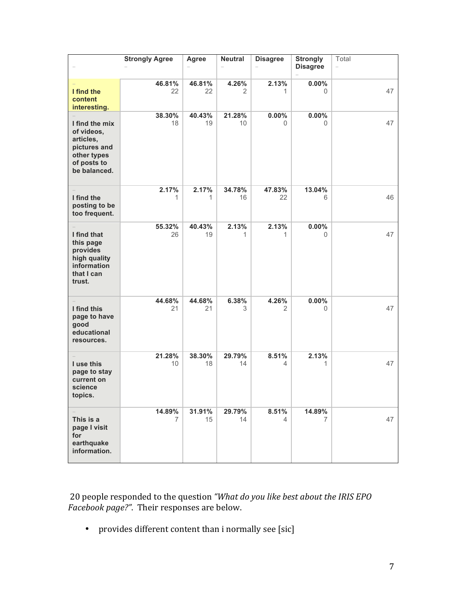|                                                                                                         | <b>Strongly Agree</b>    | Agree        | <b>Neutral</b> | <b>Disagree</b>      | <b>Strongly</b> | Total  |
|---------------------------------------------------------------------------------------------------------|--------------------------|--------------|----------------|----------------------|-----------------|--------|
|                                                                                                         |                          |              |                |                      | <b>Disagree</b> | $\sim$ |
| I find the                                                                                              | 46.81%<br>22             | 46.81%<br>22 | 4.26%<br>2     | 2.13%<br>1           | 0.00%<br>0      | 47     |
| content<br>interesting.                                                                                 |                          |              |                |                      |                 |        |
| I find the mix<br>of videos,<br>articles,<br>pictures and<br>other types<br>of posts to<br>be balanced. | 38.30%<br>18             | 40.43%<br>19 | 21.28%<br>10   | $0.00\%$<br>$\Omega$ | $0.00\%$<br>0   | 47     |
| I find the<br>posting to be<br>too frequent.                                                            | 2.17%<br>1               | 2.17%<br>1   | 34.78%<br>16   | 47.83%<br>22         | 13.04%<br>6     | 46     |
| I find that<br>this page<br>provides<br>high quality<br>information<br>that I can<br>trust.             | 55.32%<br>26             | 40.43%<br>19 | 2.13%<br>1     | 2.13%<br>1           | 0.00%<br>0      | 47     |
| I find this<br>page to have<br>good<br>educational<br>resources.                                        | 44.68%<br>21             | 44.68%<br>21 | 6.38%<br>3     | 4.26%<br>2           | 0.00%<br>0      | 47     |
| I use this<br>page to stay<br>current on<br>science<br>topics.                                          | 21.28%<br>10             | 38.30%<br>18 | 29.79%<br>14   | 8.51%<br>4           | 2.13%<br>1      | 47     |
| This is a<br>page I visit<br>for<br>earthquake<br>information.                                          | 14.89%<br>$\overline{7}$ | 31.91%<br>15 | 29.79%<br>14   | 8.51%<br>4           | 14.89%<br>7     | 47     |

20 people responded to the question "What do you like best about the IRIS EPO *Facebook page?"*. Their responses are below.

• provides different content than i normally see [sic]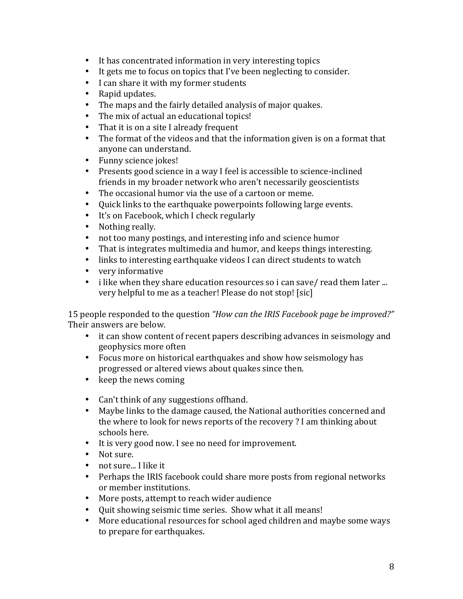- It has concentrated information in very interesting topics
- It gets me to focus on topics that I've been neglecting to consider.
- I can share it with my former students
- Rapid updates.
- The maps and the fairly detailed analysis of major quakes.
- The mix of actual an educational topics!
- That it is on a site I already frequent
- The format of the videos and that the information given is on a format that anyone can understand.
- Funny science jokes!
- Presents good science in a way I feel is accessible to science-inclined friends in my broader network who aren't necessarily geoscientists
- The occasional humor via the use of a cartoon or meme.
- Ouick links to the earthquake powerpoints following large events.
- It's on Facebook, which I check regularly
- Nothing really.
- not too many postings, and interesting info and science humor
- That is integrates multimedia and humor, and keeps things interesting.
- links to interesting earthquake videos I can direct students to watch
- very informative
- i like when they share education resources so i can save/ read them later ... very helpful to me as a teacher! Please do not stop! [sic]

15 people responded to the question *"How can the IRIS Facebook page be improved?"* Their answers are below.

- it can show content of recent papers describing advances in seismology and geophysics more often
- Focus more on historical earthquakes and show how seismology has progressed or altered views about quakes since then.
- $\bullet$  keep the news coming
- Can't think of any suggestions of fhand.
- Maybe links to the damage caused, the National authorities concerned and the where to look for news reports of the recovery? I am thinking about schools here.
- It is very good now. I see no need for improvement.
- Not sure.
- not sure... I like it
- Perhaps the IRIS facebook could share more posts from regional networks or member institutions.
- More posts, attempt to reach wider audience
- Quit showing seismic time series. Show what it all means!
- More educational resources for school aged children and maybe some ways to prepare for earthquakes.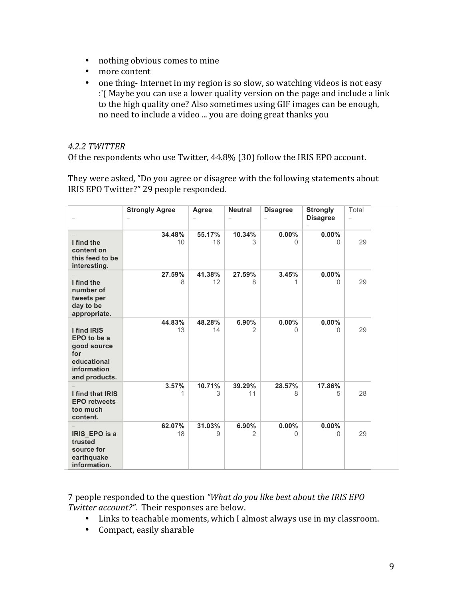- nothing obvious comes to mine
- more content
- one thing-Internet in my region is so slow, so watching videos is not easy :'( Maybe you can use a lower quality version on the page and include a link to the high quality one? Also sometimes using GIF images can be enough, no need to include a video ... you are doing great thanks you

#### *4.2.2 TWITTER*

Of the respondents who use Twitter, 44.8% (30) follow the IRIS EPO account.

They were asked, "Do you agree or disagree with the following statements about IRIS EPO Twitter?" 29 people responded.

|                                                                                                 | <b>Strongly Agree</b> | Agree        | <b>Neutral</b>          | <b>Disagree</b>   | <b>Strongly</b><br><b>Disagree</b> | Total<br>$\overline{\phantom{0}}$ |  |
|-------------------------------------------------------------------------------------------------|-----------------------|--------------|-------------------------|-------------------|------------------------------------|-----------------------------------|--|
| I find the<br>content on<br>this feed to be                                                     | 34.48%<br>10          | 55.17%<br>16 | 10.34%<br>3             | $0.00\%$<br>0     | 0.00%<br>$\Omega$                  | 29                                |  |
| interesting.<br>I find the<br>number of<br>tweets per<br>day to be<br>appropriate.              | 27.59%<br>8           | 41.38%<br>12 | 27.59%<br>8             | 3.45%<br>1        | 0.00%<br>$\Omega$                  | 29                                |  |
| I find IRIS<br>EPO to be a<br>good source<br>for<br>educational<br>information<br>and products. | 44.83%<br>13          | 48.28%<br>14 | 6.90%<br>$\overline{2}$ | 0.00%<br>$\Omega$ | $0.00\%$<br>0                      | 29                                |  |
| I find that IRIS<br><b>EPO retweets</b><br>too much<br>content.                                 | 3.57%                 | 10.71%<br>3  | 39.29%<br>11            | 28.57%<br>8       | 17.86%<br>5                        | 28                                |  |
| IRIS EPO is a<br>trusted<br>source for<br>earthquake<br>information.                            | 62.07%<br>18          | 31.03%<br>9  | 6.90%<br>$\overline{2}$ | $0.00\%$<br>0     | $0.00\%$<br>0                      | 29                                |  |

7 people responded to the question "What do you like best about the IRIS EPO *Twitter account?".* Their responses are below.

- Links to teachable moments, which I almost always use in my classroom.
- Compact, easily sharable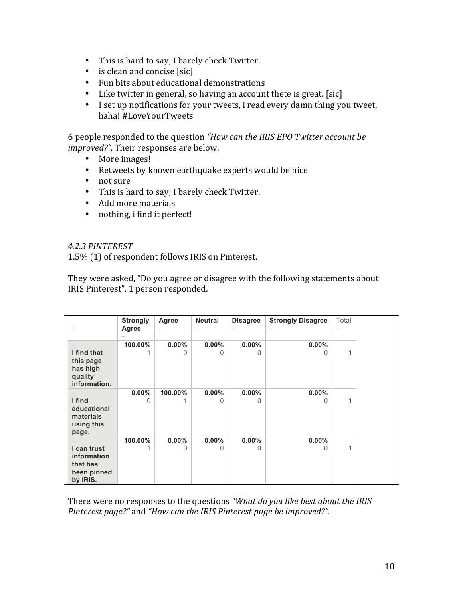- This is hard to say; I barely check Twitter.
- $\bullet$  is clean and concise [sic]
- Fun bits about educational demonstrations
- Like twitter in general, so having an account thete is great. [sic]
- I set up notifications for your tweets, i read every damn thing you tweet, haha! #LoveYourTweets

6 people responded to the question "How can the IRIS EPO Twitter account be *improved?"*. Their responses are below.

- More images!
- Retweets by known earthquake experts would be nice
- not sure
- This is hard to say; I barely check Twitter.
- Add more materials
- nothing, i find it perfect!

#### *4.2.3 PINTEREST*

1.5% (1) of respondent follows IRIS on Pinterest.

They were asked, "Do you agree or disagree with the following statements about IRIS Pinterest". 1 person responded.

|              | <b>Strongly</b> | Agree                    | <b>Neutral</b> | <b>Disagree</b>  | <b>Strongly Disagree</b> | Total |  |
|--------------|-----------------|--------------------------|----------------|------------------|--------------------------|-------|--|
|              | Agree           | $\overline{\phantom{a}}$ |                |                  |                          |       |  |
|              |                 |                          |                |                  |                          |       |  |
|              | 100.00%         | $0.00\%$                 | $0.00\%$       | $0.00\%$         | $0.00\%$                 |       |  |
| I find that  |                 |                          | O              |                  | Ω                        |       |  |
| this page    |                 |                          |                |                  |                          |       |  |
| has high     |                 |                          |                |                  |                          |       |  |
| quality      |                 |                          |                |                  |                          |       |  |
| information. |                 |                          |                |                  |                          |       |  |
|              | $0.00\%$        | 100.00%                  | $0.00\%$       | $0.00\%$         | $0.00\%$                 |       |  |
| I find       | 0               |                          | 0              | 0                | O                        | 1     |  |
| educational  |                 |                          |                |                  |                          |       |  |
| materials    |                 |                          |                |                  |                          |       |  |
| using this   |                 |                          |                |                  |                          |       |  |
| page.        |                 |                          |                |                  |                          |       |  |
|              | 100.00%         | $0.00\%$                 | $0.00\%$       | $0.00\%$         | $0.00\%$                 |       |  |
|              |                 |                          |                |                  |                          |       |  |
| I can trust  |                 |                          | O              | $\left( \right)$ | $\left( \right)$         | 1     |  |
| information  |                 |                          |                |                  |                          |       |  |
| that has     |                 |                          |                |                  |                          |       |  |
| been pinned  |                 |                          |                |                  |                          |       |  |
| by IRIS.     |                 |                          |                |                  |                          |       |  |

There were no responses to the questions "What do you like best about the IRIS Pinterest page?" and "How can the IRIS Pinterest page be improved?".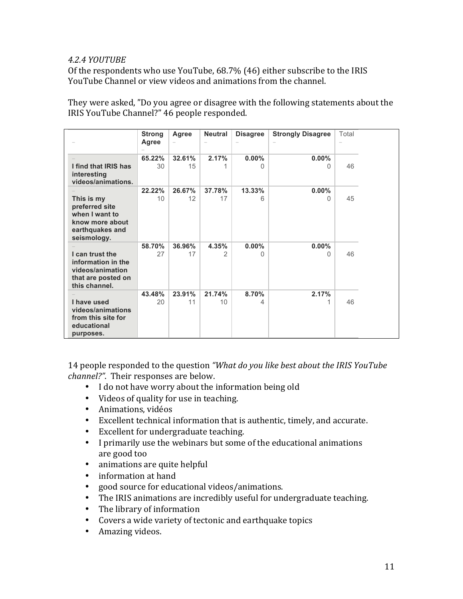#### *4.2.4 YOUTUBE*

Of the respondents who use YouTube,  $68.7\%$  (46) either subscribe to the IRIS YouTube Channel or view videos and animations from the channel.

They were asked, "Do you agree or disagree with the following statements about the IRIS YouTube Channel?" 46 people responded.

|                                                                                                     | <b>Strong</b><br><b>Agree</b> | Agree        | <b>Neutral</b> | <b>Disagree</b> | <b>Strongly Disagree</b> | Total |  |
|-----------------------------------------------------------------------------------------------------|-------------------------------|--------------|----------------|-----------------|--------------------------|-------|--|
| I find that IRIS has<br>interesting<br>videos/animations.                                           | 65.22%<br>30                  | 32.61%<br>15 | 2.17%          | 0.00%<br>O      | $0.00\%$<br><sup>0</sup> | 46    |  |
| This is my<br>preferred site<br>when I want to<br>know more about<br>earthquakes and<br>seismology. | 22.22%<br>10                  | 26.67%<br>12 | 37.78%<br>17   | 13.33%<br>6     | $0.00\%$<br>$\Omega$     | 45    |  |
| I can trust the<br>information in the<br>videos/animation<br>that are posted on<br>this channel.    | 58.70%<br>27                  | 36.96%<br>17 | 4.35%<br>2     | 0.00%<br>O      | $0.00\%$<br>O            | 46    |  |
| I have used<br>videos/animations<br>from this site for<br>educational<br>purposes.                  | 43.48%<br>20                  | 23.91%<br>11 | 21.74%<br>10   | 8.70%<br>4      | 2.17%                    | 46    |  |

14 people responded to the question *"What do you like best about the IRIS YouTube channel?"*. Their responses are below.

- I do not have worry about the information being old
- Videos of quality for use in teaching.
- Animations, vidéos
- Excellent technical information that is authentic, timely, and accurate.
- Excellent for undergraduate teaching.
- I primarily use the webinars but some of the educational animations are good too
- animations are quite helpful
- information at hand
- good source for educational videos/animations.
- The IRIS animations are incredibly useful for undergraduate teaching.
- $\bullet$  The library of information
- Covers a wide variety of tectonic and earthquake topics
- Amazing videos.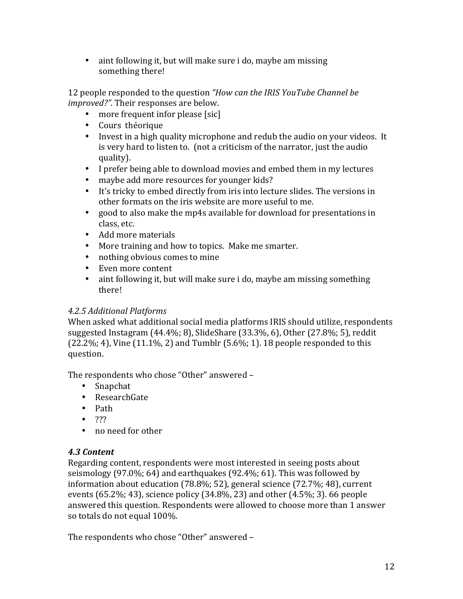• aint following it, but will make sure i do, maybe am missing something there!

12 people responded to the question *"How can the IRIS YouTube Channel be improved?"*. Their responses are below.

- more frequent infor please [sic]
- Cours théorique
- Invest in a high quality microphone and redub the audio on your videos. It is very hard to listen to. (not a criticism of the narrator, just the audio quality).
- I prefer being able to download movies and embed them in my lectures
- maybe add more resources for younger kids?
- It's tricky to embed directly from iris into lecture slides. The versions in other formats on the iris website are more useful to me.
- good to also make the mp4s available for download for presentations in class, etc.
- Add more materials
- More training and how to topics. Make me smarter.
- nothing obvious comes to mine
- Even more content
- aint following it, but will make sure i do, maybe am missing something there!

## *4.2.5 Additional Platforms*

When asked what additional social media platforms IRIS should utilize, respondents suggested Instagram  $(44.4\%; 8)$ , SlideShare  $(33.3\%, 6)$ , Other  $(27.8\%; 5)$ , reddit  $(22.2\%; 4)$ , Vine  $(11.1\%, 2)$  and Tumblr  $(5.6\%; 1)$ . 18 people responded to this question.

The respondents who chose "Other" answered -

- Snapchat
- ResearchGate
- Path
- $777$
- no need for other

## *4.3 Content*

Regarding content, respondents were most interested in seeing posts about seismology  $(97.0\%; 64)$  and earthquakes  $(92.4\%; 61)$ . This was followed by information about education (78.8%; 52), general science (72.7%; 48), current events  $(65.2\%; 43)$ , science policy  $(34.8\%, 23)$  and other  $(4.5\%; 3)$ . 66 people answered this question. Respondents were allowed to choose more than 1 answer so totals do not equal 100%.

The respondents who chose "Other" answered -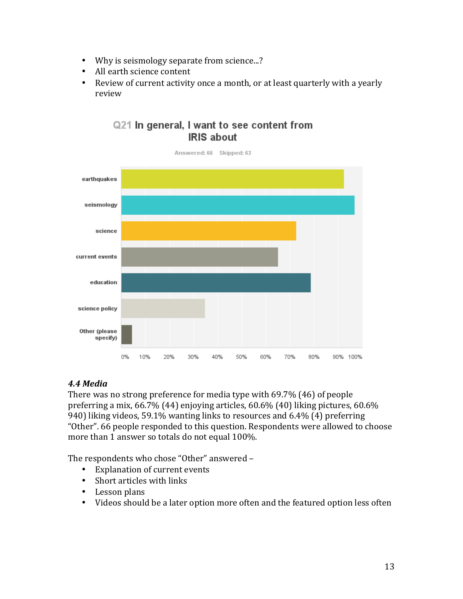- Why is seismology separate from science...?
- All earth science content
- Review of current activity once a month, or at least quarterly with a yearly review



## Q21 In general, I want to see content from **IRIS about**

### *4.4 Media*

There was no strong preference for media type with  $69.7\%$  (46) of people preferring a mix,  $66.7\%$  (44) enjoying articles,  $60.6\%$  (40) liking pictures,  $60.6\%$ 940) liking videos, 59.1% wanting links to resources and  $6.4\%$  (4) preferring "Other". 66 people responded to this question. Respondents were allowed to choose more than 1 answer so totals do not equal 100%.

The respondents who chose "Other" answered -

- Explanation of current events
- Short articles with links
- Lesson plans
- Videos should be a later option more often and the featured option less often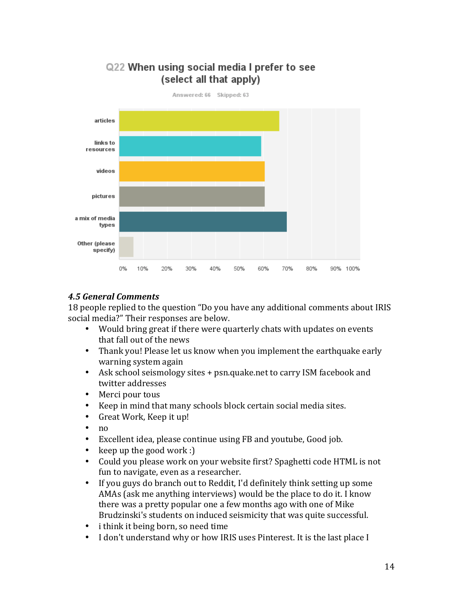

## Q22 When using social media I prefer to see (select all that apply)

## *4.5 General Comments*

18 people replied to the question "Do you have any additional comments about IRIS social media?" Their responses are below.

- Would bring great if there were quarterly chats with updates on events that fall out of the news
- Thank you! Please let us know when you implement the earthquake early warning system again
- Ask school seismology sites + psn.quake.net to carry ISM facebook and twitter addresses
- Merci pour tous
- Keep in mind that many schools block certain social media sites.
- Great Work, Keep it up!
- no
- Excellent idea, please continue using FB and youtube, Good job.
- keep up the good work :)
- Could you please work on your website first? Spaghetti code HTML is not fun to navigate, even as a researcher.
- If vou guys do branch out to Reddit, I'd definitely think setting up some AMAs (ask me anything interviews) would be the place to do it. I know there was a pretty popular one a few months ago with one of Mike Brudzinski's students on induced seismicity that was quite successful.
- i think it being born, so need time
- I don't understand why or how IRIS uses Pinterest. It is the last place I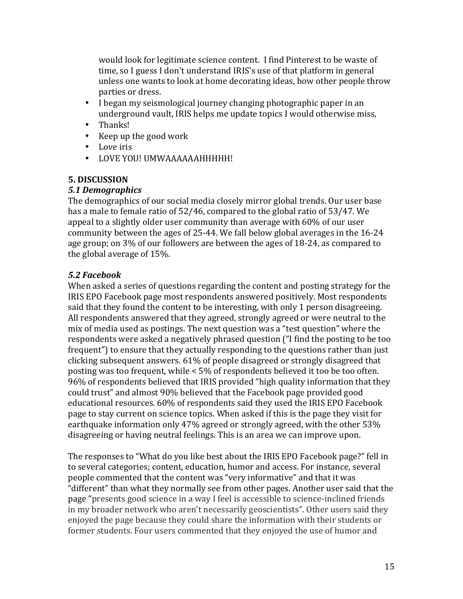would look for legitimate science content. I find Pinterest to be waste of time, so I guess I don't understand IRIS's use of that platform in general unless one wants to look at home decorating ideas, how other people throw parties or dress.

- I began my seismological journey changing photographic paper in an underground vault. IRIS helps me update topics I would otherwise miss,
- Thanks!
- Keep up the good work
- Love iris
- LOVE YOU! UMWAAAAAAHHHHH!

## **5. DISCUSSION**

## *5.1 Demographics*

The demographics of our social media closely mirror global trends. Our user base has a male to female ratio of  $52/46$ , compared to the global ratio of  $53/47$ . We appeal to a slightly older user community than average with  $60\%$  of our user community between the ages of 25-44. We fall below global averages in the 16-24 age group; on 3% of our followers are between the ages of 18-24, as compared to the global average of  $15%$ .

## *5.2 Facebook*

When asked a series of questions regarding the content and posting strategy for the IRIS EPO Facebook page most respondents answered positively. Most respondents said that they found the content to be interesting, with only 1 person disagreeing. All respondents answered that they agreed, strongly agreed or were neutral to the mix of media used as postings. The next question was a "test question" where the respondents were asked a negatively phrased question ("I find the posting to be too frequent") to ensure that they actually responding to the questions rather than just clicking subsequent answers. 61% of people disagreed or strongly disagreed that posting was too frequent, while  $\lt 5\%$  of respondents believed it too be too often. 96% of respondents believed that IRIS provided "high quality information that they could trust" and almost 90% believed that the Facebook page provided good educational resources. 60% of respondents said they used the IRIS EPO Facebook page to stay current on science topics. When asked if this is the page they visit for earthquake information only 47% agreed or strongly agreed, with the other 53% disagreeing or having neutral feelings. This is an area we can improve upon.

The responses to "What do you like best about the IRIS EPO Facebook page?" fell in to several categories; content, education, humor and access. For instance, several people commented that the content was "very informative" and that it was "different" than what they normally see from other pages. Another user said that the page "presents good science in a way I feel is accessible to science-inclined friends in my broader network who aren't necessarily geoscientists". Other users said they enjoyed the page because they could share the information with their students or former students. Four users commented that they enjoyed the use of humor and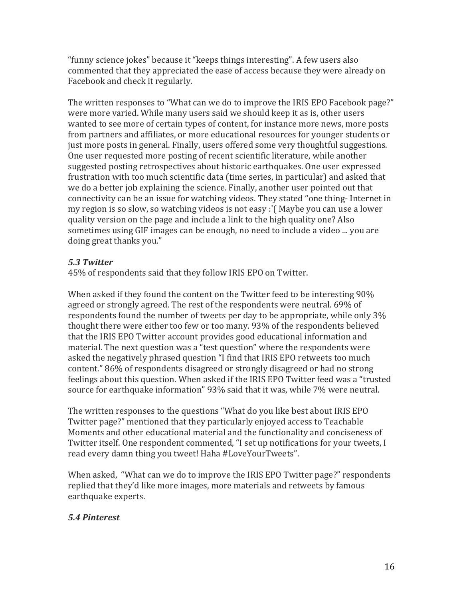"funny science jokes" because it "keeps things interesting". A few users also commented that they appreciated the ease of access because they were already on Facebook and check it regularly.

The written responses to "What can we do to improve the IRIS EPO Facebook page?" were more varied. While many users said we should keep it as is, other users wanted to see more of certain types of content, for instance more news, more posts from partners and affiliates, or more educational resources for younger students or just more posts in general. Finally, users offered some very thoughtful suggestions. One user requested more posting of recent scientific literature, while another suggested posting retrospectives about historic earthquakes. One user expressed frustration with too much scientific data (time series, in particular) and asked that we do a better job explaining the science. Finally, another user pointed out that connectivity can be an issue for watching videos. They stated "one thing- Internet in my region is so slow, so watching videos is not easy :'( Maybe you can use a lower quality version on the page and include a link to the high quality one? Also sometimes using GIF images can be enough, no need to include a video ... you are doing great thanks you."

#### *5.3 Twitter*

45% of respondents said that they follow IRIS EPO on Twitter.

When asked if they found the content on the Twitter feed to be interesting  $90\%$ agreed or strongly agreed. The rest of the respondents were neutral. 69% of respondents found the number of tweets per day to be appropriate, while only  $3\%$ thought there were either too few or too many. 93% of the respondents believed that the IRIS EPO Twitter account provides good educational information and material. The next question was a "test question" where the respondents were asked the negatively phrased question "I find that IRIS EPO retweets too much content." 86% of respondents disagreed or strongly disagreed or had no strong feelings about this question. When asked if the IRIS EPO Twitter feed was a "trusted source for earthquake information" 93% said that it was, while 7% were neutral.

The written responses to the questions "What do you like best about IRIS EPO Twitter page?" mentioned that they particularly enjoyed access to Teachable Moments and other educational material and the functionality and conciseness of Twitter itself. One respondent commented, "I set up notifications for your tweets, I read every damn thing you tweet! Haha #LoveYourTweets".

When asked, "What can we do to improve the IRIS EPO Twitter page?" respondents replied that they'd like more images, more materials and retweets by famous earthquake experts.

### *5.4 Pinterest*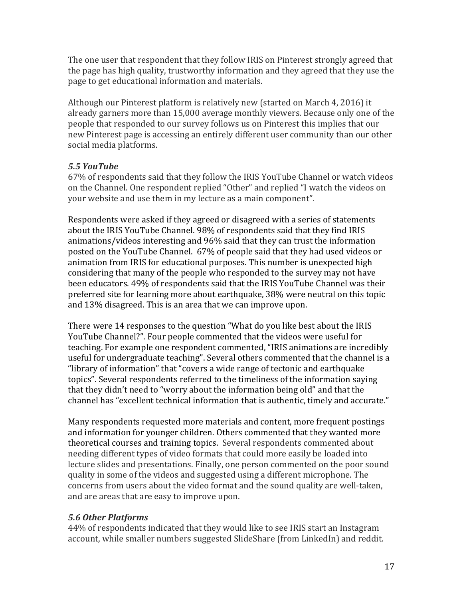The one user that respondent that they follow IRIS on Pinterest strongly agreed that the page has high quality, trustworthy information and they agreed that they use the page to get educational information and materials.

Although our Pinterest platform is relatively new (started on March 4, 2016) it already garners more than 15,000 average monthly viewers. Because only one of the people that responded to our survey follows us on Pinterest this implies that our new Pinterest page is accessing an entirely different user community than our other social media platforms.

### *5.5 YouTube*

67% of respondents said that they follow the IRIS YouTube Channel or watch videos on the Channel. One respondent replied "Other" and replied "I watch the videos on your website and use them in my lecture as a main component".

Respondents were asked if they agreed or disagreed with a series of statements about the IRIS YouTube Channel. 98% of respondents said that they find IRIS animations/videos interesting and 96% said that they can trust the information posted on the YouTube Channel. 67% of people said that they had used videos or animation from IRIS for educational purposes. This number is unexpected high considering that many of the people who responded to the survey may not have been educators. 49% of respondents said that the IRIS YouTube Channel was their preferred site for learning more about earthquake, 38% were neutral on this topic and  $13\%$  disagreed. This is an area that we can improve upon.

There were 14 responses to the question "What do you like best about the IRIS YouTube Channel?". Four people commented that the videos were useful for teaching. For example one respondent commented, "IRIS animations are incredibly useful for undergraduate teaching". Several others commented that the channel is a "library of information" that "covers a wide range of tectonic and earthquake topics". Several respondents referred to the timeliness of the information saving that they didn't need to "worry about the information being old" and that the channel has "excellent technical information that is authentic, timely and accurate."

Many respondents requested more materials and content, more frequent postings and information for younger children. Others commented that they wanted more theoretical courses and training topics. Several respondents commented about needing different types of video formats that could more easily be loaded into lecture slides and presentations. Finally, one person commented on the poor sound quality in some of the videos and suggested using a different microphone. The concerns from users about the video format and the sound quality are well-taken, and are areas that are easy to improve upon.

### *5.6 Other Platforms*

44% of respondents indicated that they would like to see IRIS start an Instagram account, while smaller numbers suggested SlideShare (from LinkedIn) and reddit.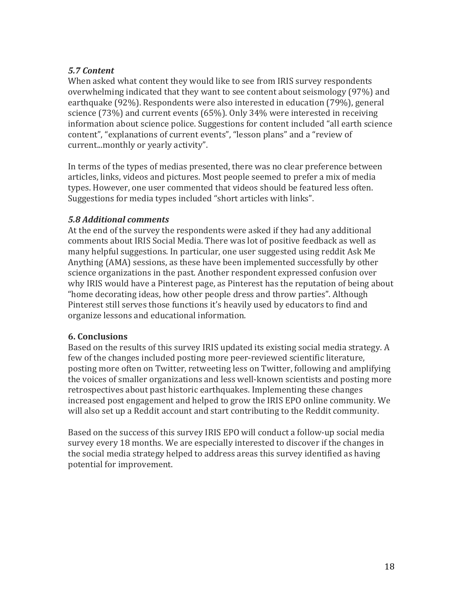#### *5.7 Content*

When asked what content they would like to see from IRIS survey respondents overwhelming indicated that they want to see content about seismology  $(97%)$  and earthquake (92%). Respondents were also interested in education (79%), general science  $(73%)$  and current events  $(65%)$ . Only  $34%$  were interested in receiving information about science police. Suggestions for content included "all earth science content", "explanations of current events", "lesson plans" and a "review of current...monthly or yearly activity".

In terms of the types of medias presented, there was no clear preference between articles, links, videos and pictures. Most people seemed to prefer a mix of media types. However, one user commented that videos should be featured less often. Suggestions for media types included "short articles with links".

#### *5.8 Additional comments*

At the end of the survey the respondents were asked if they had any additional comments about IRIS Social Media. There was lot of positive feedback as well as many helpful suggestions. In particular, one user suggested using reddit Ask Me Anything (AMA) sessions, as these have been implemented successfully by other science organizations in the past. Another respondent expressed confusion over why IRIS would have a Pinterest page, as Pinterest has the reputation of being about "home decorating ideas, how other people dress and throw parties". Although Pinterest still serves those functions it's heavily used by educators to find and organize lessons and educational information.

#### **6. Conclusions**

Based on the results of this survey IRIS updated its existing social media strategy. A few of the changes included posting more peer-reviewed scientific literature, posting more often on Twitter, retweeting less on Twitter, following and amplifying the voices of smaller organizations and less well-known scientists and posting more retrospectives about past historic earthquakes. Implementing these changes increased post engagement and helped to grow the IRIS EPO online community. We will also set up a Reddit account and start contributing to the Reddit community.

Based on the success of this survey IRIS EPO will conduct a follow-up social media survey every 18 months. We are especially interested to discover if the changes in the social media strategy helped to address areas this survey identified as having potential for improvement.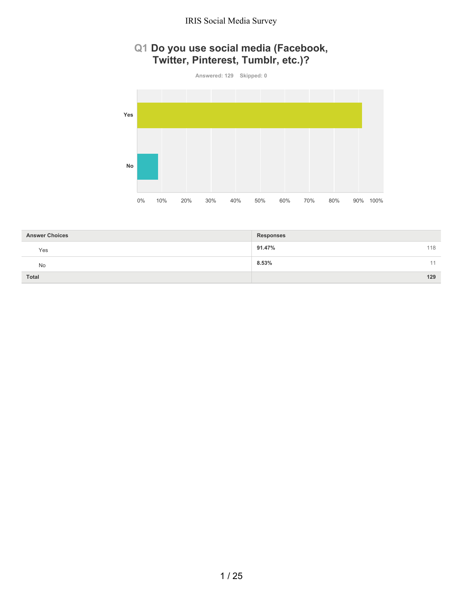## **Q1 Do you use social media (Facebook, Twitter, Pinterest, Tumblr, etc.)?**



| <b>Answer Choices</b> | <b>Responses</b> |
|-----------------------|------------------|
| Yes                   | 118<br>91.47%    |
| No                    | 8.53%<br>11      |
| Total                 | 129              |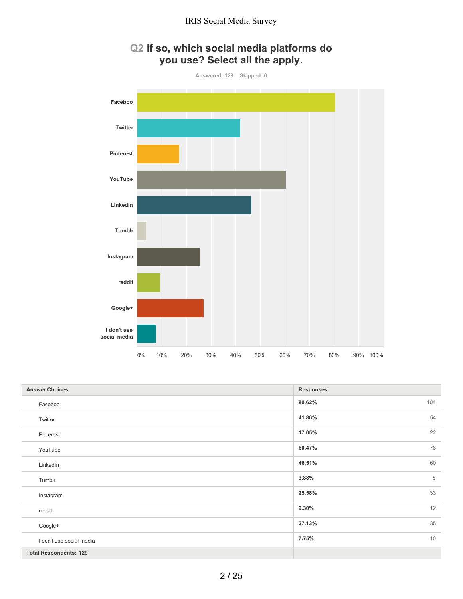

# **Q2 If so, which social media platforms do you use? Select all the apply.**

| <b>Answer Choices</b>         | <b>Responses</b> |
|-------------------------------|------------------|
| Faceboo                       | 104<br>80.62%    |
| Twitter                       | 54<br>41.86%     |
| Pinterest                     | 22<br>17.05%     |
| YouTube                       | 78<br>60.47%     |
| LinkedIn                      | 60<br>46.51%     |
| Tumblr                        | 5<br>3.88%       |
| Instagram                     | 33<br>25.58%     |
| reddit                        | 12<br>9.30%      |
| Google+                       | 35<br>27.13%     |
| I don't use social media      | 10<br>7.75%      |
| <b>Total Respondents: 129</b> |                  |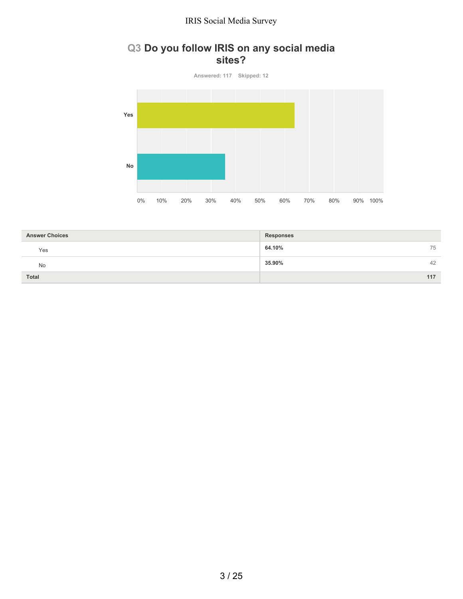## **Q3 Do you follow IRIS on any social media sites?**

**Answered: 117 Skipped: 12 Yes No** 0% 10% 20% 30% 40% 50% 60% 70% 80% 90% 100%

| <b>Answer Choices</b> | <b>Responses</b> |
|-----------------------|------------------|
| Yes                   | 64.10%<br>75     |
| No                    | 35.90%<br>42     |
| Total                 | 117              |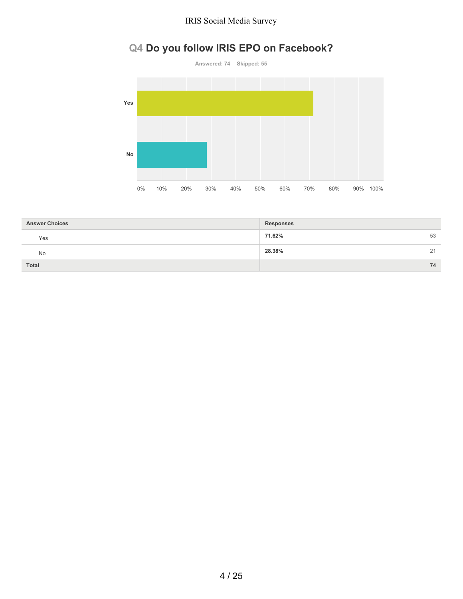# **Q4 Do you follow IRIS EPO on Facebook?**



| <b>Answer Choices</b> | <b>Responses</b> |    |
|-----------------------|------------------|----|
| Yes                   | 71.62%           | 53 |
| No                    | 28.38%           | 21 |
| Total                 |                  | 74 |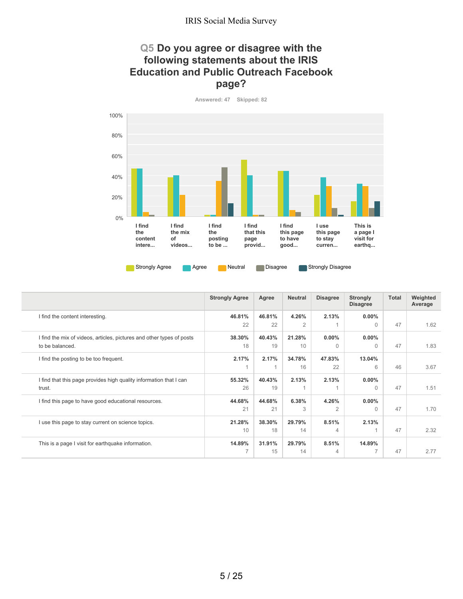## **Q5 Do you agree or disagree with the following statements about the IRIS Education and Public Outreach Facebook page?**

**Answered: 47 Skipped: 82**



|                                                                       | <b>Strongly Agree</b> | Agree  | <b>Neutral</b> | <b>Disagree</b> | <b>Strongly</b><br><b>Disagree</b> | Total | Weighted<br>Average |
|-----------------------------------------------------------------------|-----------------------|--------|----------------|-----------------|------------------------------------|-------|---------------------|
| I find the content interesting.                                       | 46.81%                | 46.81% | 4.26%          | 2.13%           | $0.00\%$                           |       |                     |
|                                                                       | 22                    | 22     | 2              |                 | $\Omega$                           | 47    | 1.62                |
| I find the mix of videos, articles, pictures and other types of posts | 38.30%                | 40.43% | 21.28%         | $0.00\%$        | $0.00\%$                           |       |                     |
| to be balanced.                                                       | 18                    | 19     | 10             | $\Omega$        | $\Omega$                           | 47    | 1.83                |
| I find the posting to be too frequent.                                | 2.17%                 | 2.17%  | 34.78%         | 47.83%          | 13.04%                             |       |                     |
|                                                                       |                       |        | 16             | 22              | 6                                  | 46    | 3.67                |
| I find that this page provides high quality information that I can    | 55.32%                | 40.43% | 2.13%          | 2.13%           | $0.00\%$                           |       |                     |
| trust.                                                                | 26                    | 19     |                |                 | $\Omega$                           | 47    | 1.51                |
| I find this page to have good educational resources.                  | 44.68%                | 44.68% | 6.38%          | 4.26%           | $0.00\%$                           |       |                     |
|                                                                       | 21                    | 21     | 3              | $\overline{2}$  | $\Omega$                           | 47    | 1.70                |
| I use this page to stay current on science topics.                    | 21.28%                | 38.30% | 29.79%         | 8.51%           | 2.13%                              |       |                     |
|                                                                       | 10                    | 18     | 14             | 4               |                                    | 47    | 2.32                |
| This is a page I visit for earthquake information.                    | 14.89%                | 31.91% | 29.79%         | 8.51%           | 14.89%                             |       |                     |
|                                                                       | ⇁                     | 15     | 14             | 4               |                                    | 47    | 2.77                |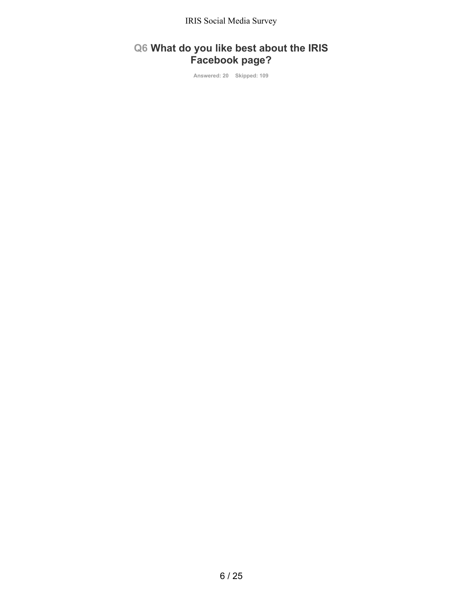# **Q6 What do you like best about the IRIS Facebook page?**

**Answered: 20 Skipped: 109**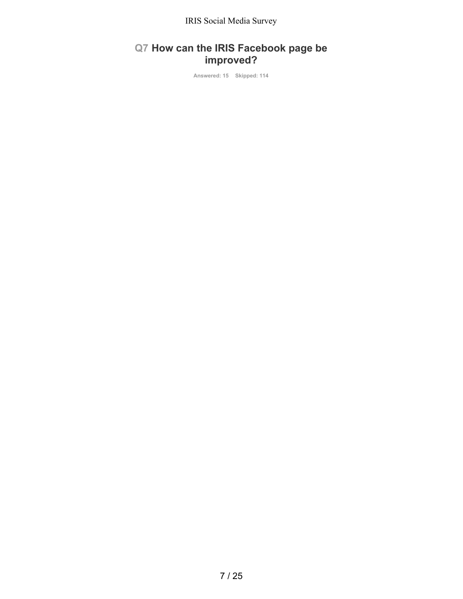# **Q7 How can the IRIS Facebook page be improved?**

**Answered: 15 Skipped: 114**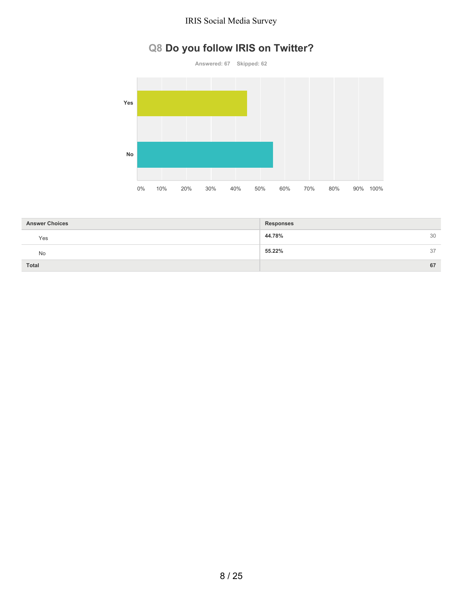# **Q8 Do you follow IRIS on Twitter?**



| <b>Answer Choices</b> | <b>Responses</b> |    |
|-----------------------|------------------|----|
| Yes                   | 44.78%           | 30 |
| No                    | 55.22%           | 37 |
| Total                 |                  | 67 |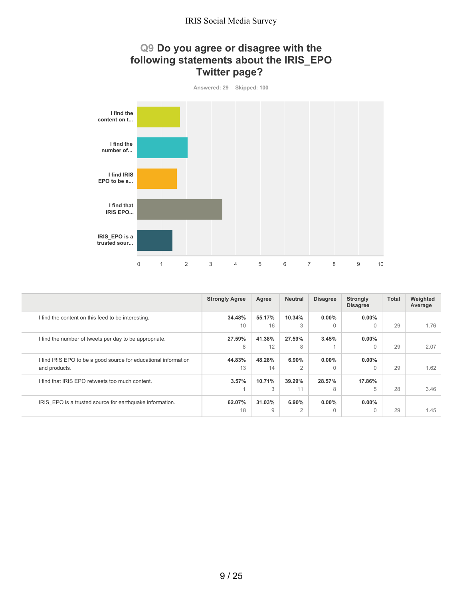## **Q9 Do you agree or disagree with the following statements about the IRIS\_EPO Twitter page?**



|                                                                 | <b>Strongly Agree</b> | Agree  | <b>Neutral</b> | <b>Disagree</b> | <b>Strongly</b><br><b>Disagree</b> | Total | Weighted<br>Average |
|-----------------------------------------------------------------|-----------------------|--------|----------------|-----------------|------------------------------------|-------|---------------------|
| I find the content on this feed to be interesting.              | 34.48%                | 55.17% | 10.34%         | $0.00\%$        | $0.00\%$                           |       |                     |
|                                                                 | 10                    | 16     | 3              | 0               | $\Omega$                           | 29    | 1.76                |
| I find the number of tweets per day to be appropriate.          | 27.59%                | 41.38% | 27.59%         | 3.45%           | $0.00\%$                           |       |                     |
|                                                                 | 8                     | 12     | 8              |                 | $\Omega$                           | 29    | 2.07                |
| I find IRIS EPO to be a good source for educational information | 44.83%                | 48.28% | 6.90%          | $0.00\%$        | $0.00\%$                           |       |                     |
| and products.                                                   | 13                    | 14     | 2              | U               | $\bigcap$                          | 29    | 1.62                |
| I find that IRIS EPO retweets too much content.                 | 3.57%                 | 10.71% | 39.29%         | 28.57%          | 17.86%                             |       |                     |
|                                                                 |                       | 3      | 11             | 8               | 5                                  | 28    | 3.46                |
| IRIS EPO is a trusted source for earthquake information.        | 62.07%                | 31.03% | 6.90%          | $0.00\%$        | $0.00\%$                           |       |                     |
|                                                                 | 18                    | 9      | 2              | $\Omega$        | $\Omega$                           | 29    | 1.45                |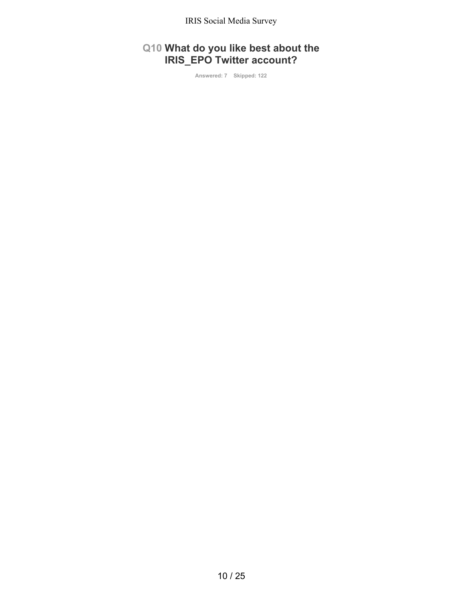## **Q10 What do you like best about the IRIS\_EPO Twitter account?**

**Answered: 7 Skipped: 122**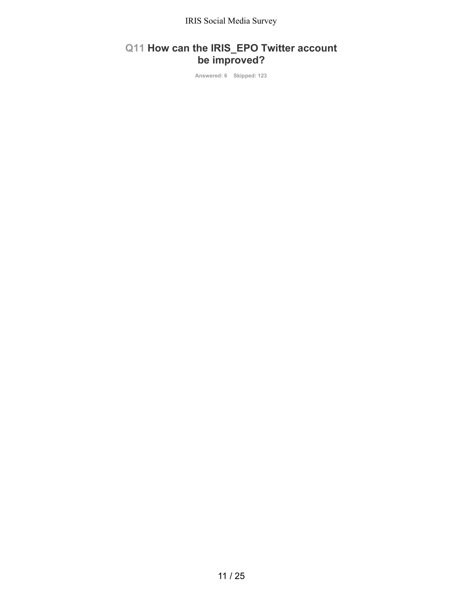## **Q11 How can the IRIS\_EPO Twitter account be improved?**

**Answered: 6 Skipped: 123**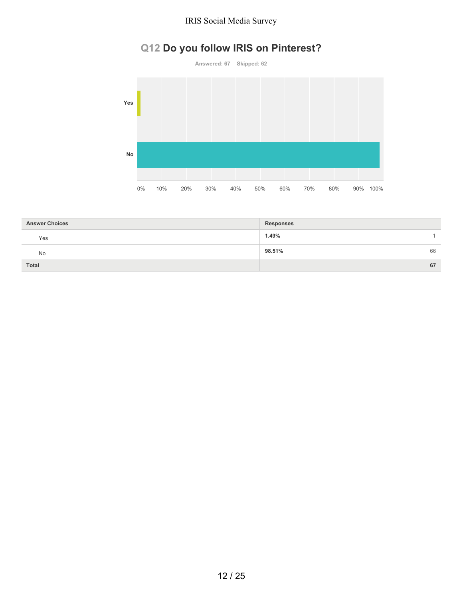# **Q12 Do you follow IRIS on Pinterest?**



| <b>Answer Choices</b> | <b>Responses</b> |
|-----------------------|------------------|
| Yes                   | 1.49%            |
| No                    | 98.51%<br>66     |
| <b>Total</b>          | 67               |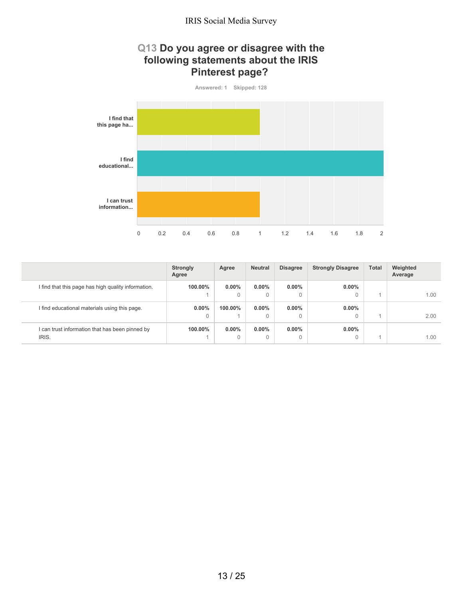## **Q13 Do you agree or disagree with the following statements about the IRIS Pinterest page?**



|                                                     | <b>Strongly</b><br>Agree | Agree    | <b>Neutral</b> | <b>Disagree</b> | <b>Strongly Disagree</b> | <b>Total</b> | Weighted<br>Average |
|-----------------------------------------------------|--------------------------|----------|----------------|-----------------|--------------------------|--------------|---------------------|
| I find that this page has high quality information. | 100.00%                  | $0.00\%$ | $0.00\%$       | $0.00\%$        | $0.00\%$                 |              |                     |
|                                                     |                          |          | 0              | 0               | 0                        |              | 1.00                |
| I find educational materials using this page.       | $0.00\%$                 | 100.00%  | $0.00\%$       | $0.00\%$        | $0.00\%$                 |              |                     |
|                                                     |                          |          | 0              | $\Omega$        | 0                        |              | 2.00                |
| I can trust information that has been pinned by     | 100.00%                  | $0.00\%$ | $0.00\%$       | $0.00\%$        | $0.00\%$                 |              |                     |
| IRIS.                                               |                          |          | 0              | 0               | 0                        |              | 1.00                |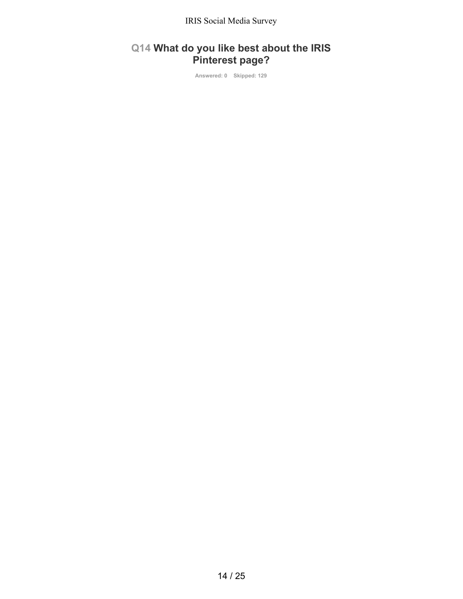# **Q14 What do you like best about the IRIS Pinterest page?**

**Answered: 0 Skipped: 129**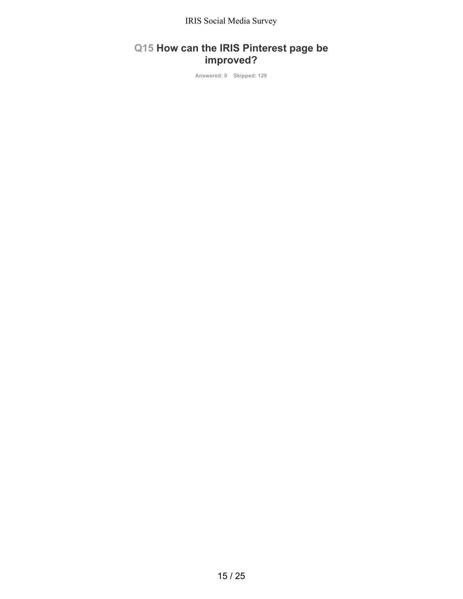# **Q15 How can the IRIS Pinterest page be improved?**

**Answered: 0 Skipped: 129**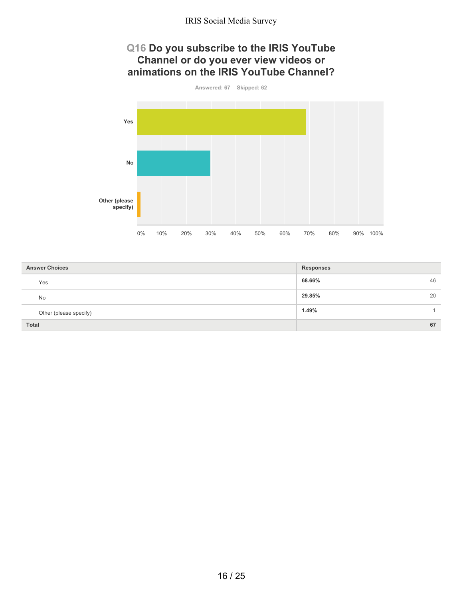## **Q16 Do you subscribe to the IRIS YouTube Channel or do you ever view videos or animations on the IRIS YouTube Channel?**



| <b>Answer Choices</b>  | <b>Responses</b> |
|------------------------|------------------|
| Yes                    | 68.66%<br>46     |
| No                     | 20<br>29.85%     |
| Other (please specify) | 1.49%            |
| <b>Total</b>           | 67               |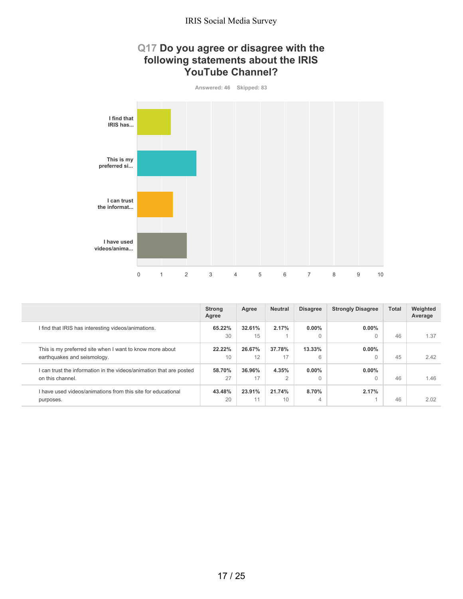## **Q17 Do you agree or disagree with the following statements about the IRIS YouTube Channel?**



|                                                                                         | <b>Strong</b><br>Agree | Agree        | <b>Neutral</b>      | <b>Disagree</b> | <b>Strongly Disagree</b> | <b>Total</b> | Weighted<br>Average |
|-----------------------------------------------------------------------------------------|------------------------|--------------|---------------------|-----------------|--------------------------|--------------|---------------------|
| I find that IRIS has interesting videos/animations.                                     | 65.22%<br>30           | 32.61%<br>15 | 2.17%               | $0.00\%$<br>0   | $0.00\%$<br>0            | 46           | 1.37                |
| This is my preferred site when I want to know more about<br>earthquakes and seismology. | 22.22%<br>10           | 26.67%<br>12 | 37.78%<br>17        | 13.33%<br>6     | $0.00\%$                 | 45           | 2.42                |
| can trust the information in the videos/animation that are posted<br>on this channel.   | 58.70%<br>27           | 36.96%<br>17 | 4.35%<br>$\sqrt{2}$ | $0.00\%$<br>0   | $0.00\%$                 | 46           | 1.46                |
| I have used videos/animations from this site for educational<br>purposes.               | 43.48%<br>20           | 23.91%<br>11 | 21.74%<br>10        | 8.70%<br>4      | 2.17%                    | 46           | 2.02                |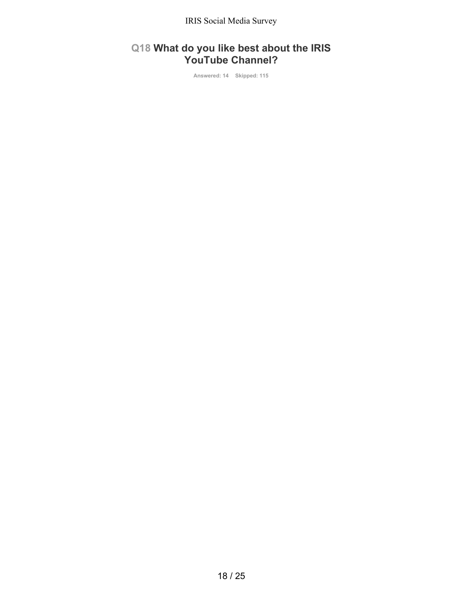## **Q18 What do you like best about the IRIS YouTube Channel?**

**Answered: 14 Skipped: 115**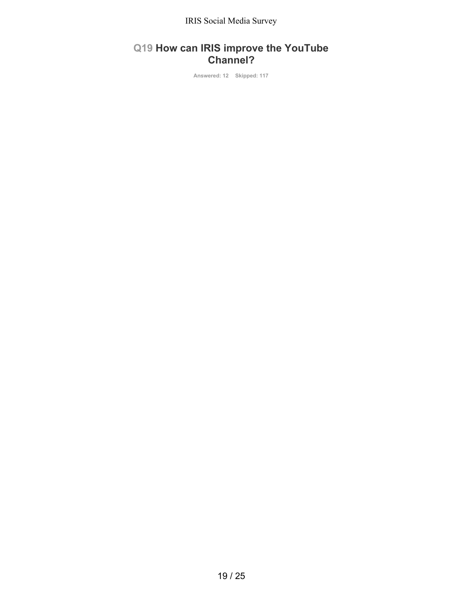## **Q19 How can IRIS improve the YouTube Channel?**

**Answered: 12 Skipped: 117**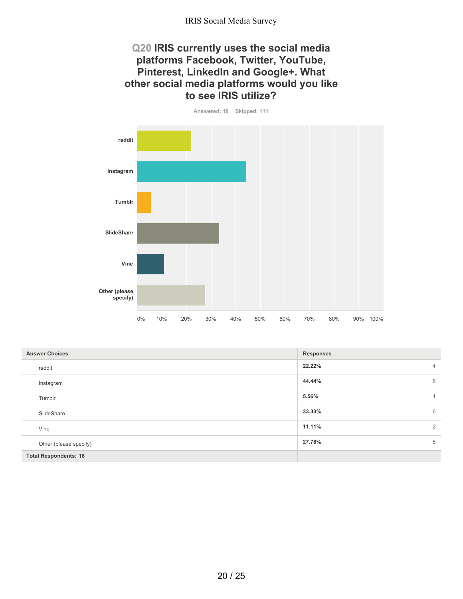## **Q20 IRIS currently uses the social media platforms Facebook, Twitter, YouTube, Pinterest, LinkedIn and Google+. What other social media platforms would you like to see IRIS utilize?**

**Answered: 18 Skipped: 111**

**reddit Instagram Tumblr SlideShare Vine Other (please specify)** 0% 10% 20% 30% 40% 50% 60% 70% 80% 90% 100%

| <b>Answer Choices</b>        | <b>Responses</b>         |
|------------------------------|--------------------------|
| reddit                       | 22.22%<br>$\overline{4}$ |
| Instagram                    | 44.44%<br>8              |
| Tumblr                       | 5.56%                    |
| SlideShare                   | 6<br>33.33%              |
| Vine                         | 11.11%<br>$\overline{2}$ |
| Other (please specify)       | 5<br>27.78%              |
| <b>Total Respondents: 18</b> |                          |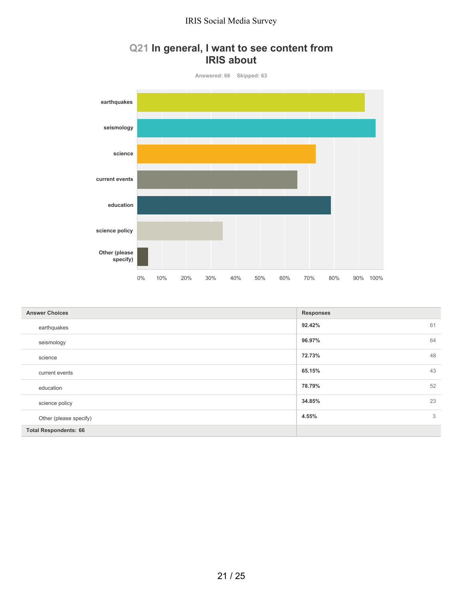## **Q21 In general, I want to see content from IRIS about**



| <b>Answer Choices</b>        | <b>Responses</b> |    |
|------------------------------|------------------|----|
| earthquakes                  | 92.42%           | 61 |
| seismology                   | 96.97%           | 64 |
| science                      | 72.73%           | 48 |
| current events               | 65.15%           | 43 |
| education                    | 78.79%           | 52 |
| science policy               | 34.85%           | 23 |
| Other (please specify)       | 4.55%            | 3  |
| <b>Total Respondents: 66</b> |                  |    |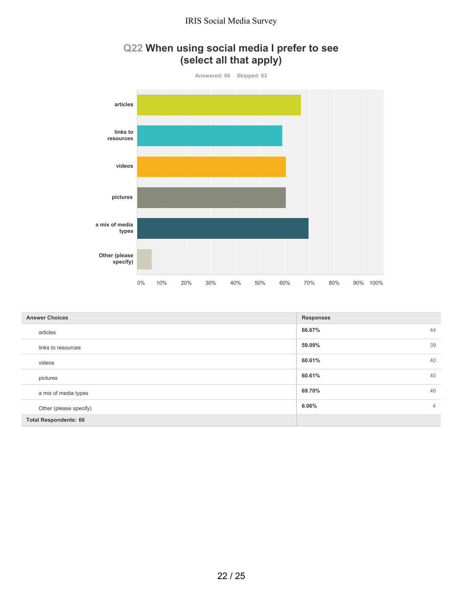# **Q22 When using social media I prefer to see (select all that apply)**



| <b>Answer Choices</b>        | <b>Responses</b>        |
|------------------------------|-------------------------|
| articles                     | 44<br>66.67%            |
| links to resources           | 39<br>59.09%            |
| videos                       | 40<br>60.61%            |
| pictures                     | 40<br>60.61%            |
| a mix of media types         | 46<br>69.70%            |
| Other (please specify)       | 6.06%<br>$\overline{4}$ |
| <b>Total Respondents: 66</b> |                         |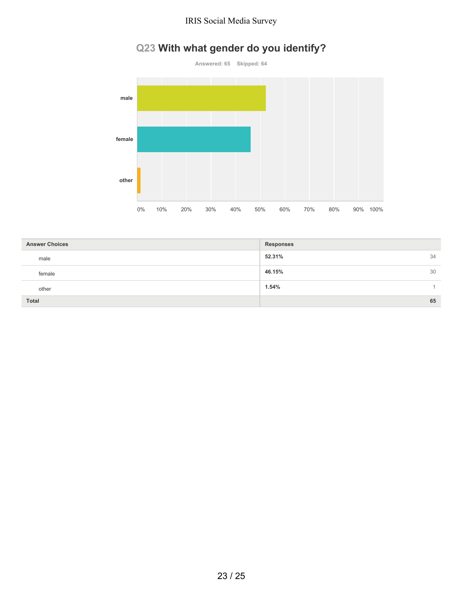# **Q23 With what gender do you identify?**



| <b>Answer Choices</b> | <b>Responses</b> |
|-----------------------|------------------|
| male                  | 52.31%<br>34     |
| female                | 46.15%<br>30     |
| other                 | 1.54%            |
| Total                 | 65               |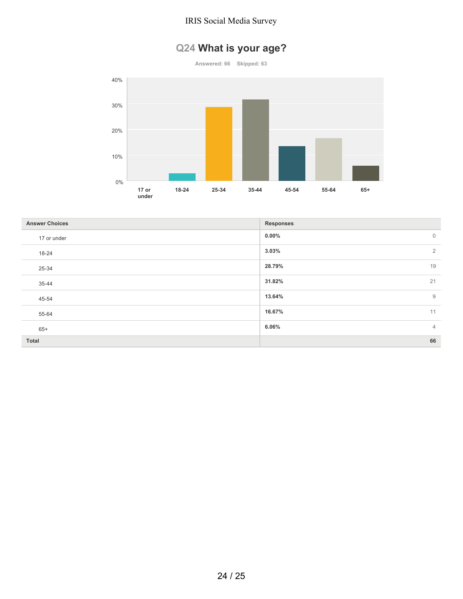# **Q24 What is your age?**

**Answered: 66 Skipped: 63**



| <b>Answer Choices</b> | <b>Responses</b>           |
|-----------------------|----------------------------|
| 17 or under           | $0.00\%$<br>$\overline{0}$ |
| 18-24                 | $\overline{2}$<br>3.03%    |
| 25-34                 | 19<br>28.79%               |
| 35-44                 | 21<br>31.82%               |
| 45-54                 | 9<br>13.64%                |
| 55-64                 | 16.67%<br>11               |
| $65+$                 | $\overline{4}$<br>6.06%    |
| Total                 | 66                         |